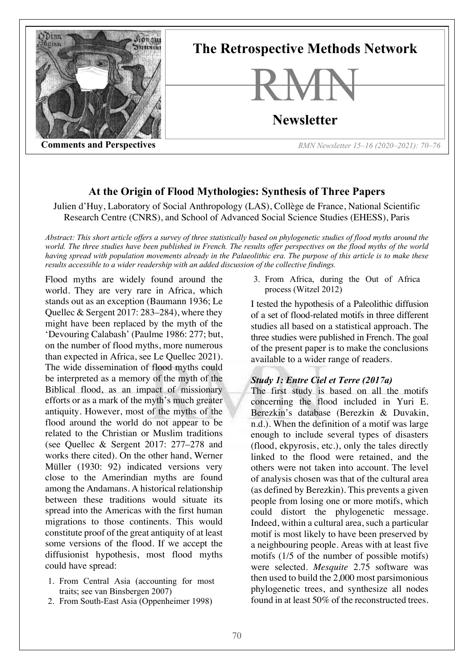

# **At the Origin of Flood Mythologies: Synthesis of Three Papers**

Julien d'Huy, Laboratory of Social Anthropology (LAS), Collège de France, National Scientific Research Centre (CNRS), and School of Advanced Social Science Studies (EHESS), Paris

*Abstract: This short article offers a survey of three statistically based on phylogenetic studies of flood myths around the world. The three studies have been published in French. The results offer perspectives on the flood myths of the world having spread with population movements already in the Palaeolithic era. The purpose of this article is to make these results accessible to a wider readership with an added discussion of the collective findings.*

Flood myths are widely found around the world. They are very rare in Africa, which stands out as an exception (Baumann 1936; Le Quellec & Sergent 2017: 283–284), where they might have been replaced by the myth of the 'Devouring Calabash' (Paulme 1986: 277; but, on the number of flood myths, more numerous than expected in Africa, see Le Quellec 2021). The wide dissemination of flood myths could be interpreted as a memory of the myth of the Biblical flood, as an impact of missionary efforts or as a mark of the myth's much greater antiquity. However, most of the myths of the flood around the world do not appear to be related to the Christian or Muslim traditions (see Quellec & Sergent 2017: 277–278 and works there cited). On the other hand, Werner Müller (1930: 92) indicated versions very close to the Amerindian myths are found among the Andamans. A historical relationship between these traditions would situate its spread into the Americas with the first human migrations to those continents. This would constitute proof of the great antiquity of at least some versions of the flood. If we accept the diffusionist hypothesis, most flood myths could have spread:

- 1. From Central Asia (accounting for most traits; see van Binsbergen 2007)
- 2. From South-East Asia (Oppenheimer 1998)

3. From Africa, during the Out of Africa process (Witzel 2012)

I tested the hypothesis of a Paleolithic diffusion of a set of flood-related motifs in three different studies all based on a statistical approach. The three studies were published in French. The goal of the present paper is to make the conclusions available to a wider range of readers.

### *Study 1: Entre Ciel et Terre (2017a)*

The first study is based on all the motifs concerning the flood included in Yuri E. Berezkin's database (Berezkin & Duvakin, n.d.). When the definition of a motif was large enough to include several types of disasters (flood, ekpyrosis, etc.), only the tales directly linked to the flood were retained, and the others were not taken into account. The level of analysis chosen was that of the cultural area (as defined by Berezkin). This prevents a given people from losing one or more motifs, which could distort the phylogenetic message. Indeed, within a cultural area, such a particular motif is most likely to have been preserved by a neighbouring people. Areas with at least five motifs (1/5 of the number of possible motifs) were selected. *Mesquite* 2.75 software was then used to build the 2,000 most parsimonious phylogenetic trees, and synthesize all nodes found in at least 50% of the reconstructed trees.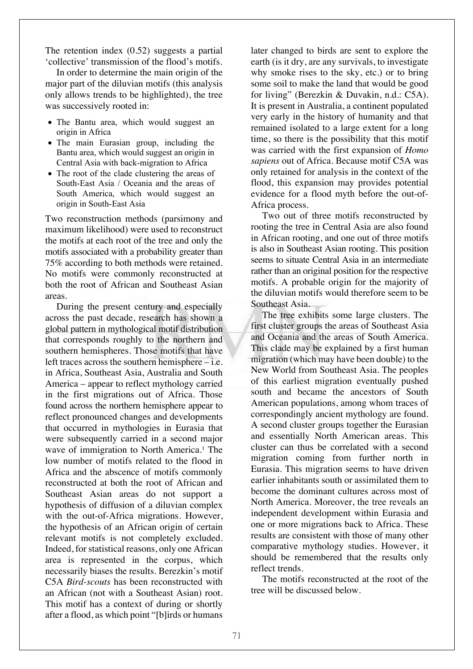The retention index (0.52) suggests a partial 'collective' transmission of the flood's motifs.

In order to determine the main origin of the major part of the diluvian motifs (this analysis only allows trends to be highlighted), the tree was successively rooted in:

- The Bantu area, which would suggest an origin in Africa
- The main Eurasian group, including the Bantu area, which would suggest an origin in Central Asia with back-migration to Africa
- The root of the clade clustering the areas of South-East Asia / Oceania and the areas of South America, which would suggest an origin in South-East Asia

Two reconstruction methods (parsimony and maximum likelihood) were used to reconstruct the motifs at each root of the tree and only the motifs associated with a probability greater than 75% according to both methods were retained. No motifs were commonly reconstructed at both the root of African and Southeast Asian areas.

During the present century and especially across the past decade, research has shown a global pattern in mythological motif distribution that corresponds roughly to the northern and southern hemispheres. Those motifs that have left traces across the southern hemisphere – i.e. in Africa, Southeast Asia, Australia and South America – appear to reflect mythology carried in the first migrations out of Africa. Those found across the northern hemisphere appear to reflect pronounced changes and developments that occurred in mythologies in Eurasia that were subsequently carried in a second major wave of immigration to North America.<sup>1</sup> The low number of motifs related to the flood in Africa and the abscence of motifs commonly reconstructed at both the root of African and Southeast Asian areas do not support a hypothesis of diffusion of a diluvian complex with the out-of-Africa migrations. However, the hypothesis of an African origin of certain relevant motifs is not completely excluded. Indeed, for statistical reasons, only one African area is represented in the corpus, which necessarily biases the results. Berezkin's motif C5A *Bird-scouts* has been reconstructed with an African (not with a Southeast Asian) root. This motif has a context of during or shortly after a flood, as which point "[b]irds or humans

later changed to birds are sent to explore the earth (is it dry, are any survivals, to investigate why smoke rises to the sky, etc.) or to bring some soil to make the land that would be good for living" (Berezkin & Duvakin, n.d.: C5A). It is present in Australia, a continent populated very early in the history of humanity and that remained isolated to a large extent for a long time, so there is the possibility that this motif was carried with the first expansion of *Homo sapiens* out of Africa. Because motif C5A was only retained for analysis in the context of the flood, this expansion may provides potential evidence for a flood myth before the out-of-Africa process.

Two out of three motifs reconstructed by rooting the tree in Central Asia are also found in African rooting, and one out of three motifs is also in Southeast Asian rooting. This position seems to situate Central Asia in an intermediate rather than an original position for the respective motifs. A probable origin for the majority of the diluvian motifs would therefore seem to be Southeast Asia.

The tree exhibits some large clusters. The first cluster groups the areas of Southeast Asia and Oceania and the areas of South America. This clade may be explained by a first human migration (which may have been double) to the New World from Southeast Asia. The peoples of this earliest migration eventually pushed south and became the ancestors of South American populations, among whom traces of correspondingly ancient mythology are found. A second cluster groups together the Eurasian and essentially North American areas. This cluster can thus be correlated with a second migration coming from further north in Eurasia. This migration seems to have driven earlier inhabitants south or assimilated them to become the dominant cultures across most of North America. Moreover, the tree reveals an independent development within Eurasia and one or more migrations back to Africa. These results are consistent with those of many other comparative mythology studies. However, it should be remembered that the results only reflect trends.

The motifs reconstructed at the root of the tree will be discussed below.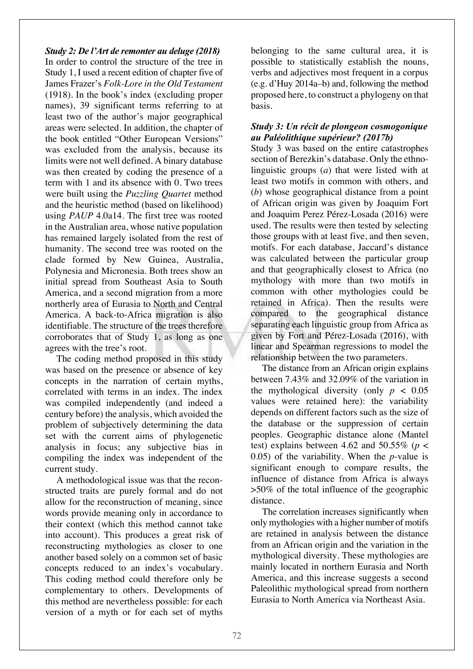## *Study 2: De l'Art de remonter au deluge (2018)*

In order to control the structure of the tree in Study 1, I used a recent edition of chapter five of James Frazer's *Folk-Lore in the Old Testament* (1918). In the book's index (excluding proper names), 39 significant terms referring to at least two of the author's major geographical areas were selected. In addition, the chapter of the book entitled "Other European Versions" was excluded from the analysis, because its limits were not well defined. A binary database was then created by coding the presence of a term with 1 and its absence with 0. Two trees were built using the *Puzzling Quartet* method and the heuristic method (based on likelihood) using *PAUP* 4.0a14. The first tree was rooted in the Australian area, whose native population has remained largely isolated from the rest of humanity. The second tree was rooted on the clade formed by New Guinea, Australia, Polynesia and Micronesia. Both trees show an initial spread from Southeast Asia to South America, and a second migration from a more northerly area of Eurasia to North and Central America. A back-to-Africa migration is also identifiable. The structure of the trees therefore corroborates that of Study 1, as long as one agrees with the tree's root.

The coding method proposed in this study was based on the presence or absence of key concepts in the narration of certain myths, correlated with terms in an index. The index was compiled independently (and indeed a century before) the analysis, which avoided the problem of subjectively determining the data set with the current aims of phylogenetic analysis in focus; any subjective bias in compiling the index was independent of the current study.

A methodological issue was that the reconstructed traits are purely formal and do not allow for the reconstruction of meaning, since words provide meaning only in accordance to their context (which this method cannot take into account). This produces a great risk of reconstructing mythologies as closer to one another based solely on a common set of basic concepts reduced to an index's vocabulary. This coding method could therefore only be complementary to others. Developments of this method are nevertheless possible: for each version of a myth or for each set of myths belonging to the same cultural area, it is possible to statistically establish the nouns, verbs and adjectives most frequent in a corpus (e.g. d'Huy 2014a–b) and, following the method proposed here, to construct a phylogeny on that basis.

## *Study 3: Un récit de plongeon cosmogonique au Paléolithique supérieur? (2017b)*

Study 3 was based on the entire catastrophes section of Berezkin's database. Only the ethnolinguistic groups (*a*) that were listed with at least two motifs in common with others, and (*b*) whose geographical distance from a point of African origin was given by Joaquim Fort and Joaquim Perez Pérez-Losada (2016) were used. The results were then tested by selecting those groups with at least five, and then seven, motifs. For each database, Jaccard's distance was calculated between the particular group and that geographically closest to Africa (no mythology with more than two motifs in common with other mythologies could be retained in Africa). Then the results were compared to the geographical distance separating each linguistic group from Africa as given by Fort and Pérez-Losada (2016), with linear and Spearman regressions to model the relationship between the two parameters.

The distance from an African origin explains between 7.43% and 32.09% of the variation in the mythological diversity (only  $p < 0.05$ ) values were retained here): the variability depends on different factors such as the size of the database or the suppression of certain peoples. Geographic distance alone (Mantel test) explains between 4.62 and 50.55% (*p* < 0.05) of the variability. When the *p*-value is significant enough to compare results, the influence of distance from Africa is always >50% of the total influence of the geographic distance.

The correlation increases significantly when only mythologies with a higher number of motifs are retained in analysis between the distance from an African origin and the variation in the mythological diversity. These mythologies are mainly located in northern Eurasia and North America, and this increase suggests a second Paleolithic mythological spread from northern Eurasia to North America via Northeast Asia.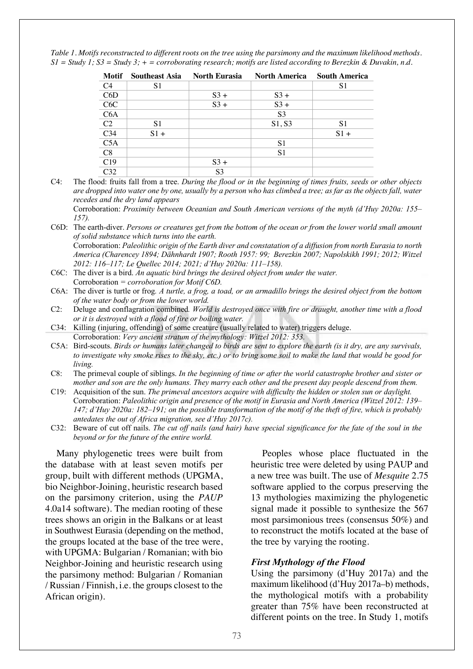*Table 1. Motifs reconstructed to different roots on the tree using the parsimony and the maximum likelihood methods. S1 = Study 1; S3 = Study 3; + = corroborating research; motifs are listed according to Berezkin & Duvakin, n.d.*

| Motif           | <b>Southeast Asia</b> | <b>North Eurasia</b> | <b>North America</b> | <b>South America</b> |
|-----------------|-----------------------|----------------------|----------------------|----------------------|
| C <sub>4</sub>  | S1                    |                      |                      | S1                   |
| C6D             |                       | $S_3 +$              | $S_3 +$              |                      |
| C6C             |                       | $S_3 +$              | $S_3 +$              |                      |
| C6A             |                       |                      | S <sub>3</sub>       |                      |
| C <sub>2</sub>  | S <sub>1</sub>        |                      | S1, S3               | S1                   |
| C <sub>34</sub> | $S1 +$                |                      |                      | $S1 +$               |
| C5A             |                       |                      | S <sub>1</sub>       |                      |
| C8              |                       |                      | S1                   |                      |
| C19             |                       | $S_3 +$              |                      |                      |
| C32             |                       | S <sub>3</sub>       |                      |                      |

C4: The flood: fruits fall from a tree. *During the flood or in the beginning of times fruits, seeds or other objects are dropped into water one by one, usually by a person who has climbed a tree; as far as the objects fall, water recedes and the dry land appears*

Corroboration: *Proximity between Oceanian and South American versions of the myth (d'Huy 2020a: 155– 157).*

- C6D: The earth-diver. *Persons or creatures get from the bottom of the ocean or from the lower world small amount of solid substance which turns into the earth.* Corroboration: *Paleolithic origin of the Earth diver and constatation of a diffusion from north Eurasia to north America (Charencey 1894; Dähnhardt 1907; Rooth 1957: 99; Berezkin 2007; Napolskikh 1991; 2012; Witzel*
- *2012: 116–117; Le Quellec 2014; 2021; d'Huy 2020a: 111–158).* C6C: The diver is a bird. *An aquatic bird brings the desired object from under the water.*
- Corroboration *= corroboration for Motif C6D.* C6A: The diver is turtle or frog*. A turtle, a frog, a toad, or an armadillo brings the desired object from the bottom*
- *of the water body or from the lower world.*
- C2: Deluge and conflagration combined*. World is destroyed once with fire or draught, another time with a flood or it is destroyed with a flood of fire or boiling water.*
- C34: Killing (injuring, offending) of some creature (usually related to water) triggers deluge. Corroboration: *Very ancient stratum of the mythology: Witzel 2012: 353.*
- C5A: Bird-scouts. *Birds or humans later changed to birds are sent to explore the earth (is it dry, are any survivals, to investigate why smoke rises to the sky, etc.) or to bring some soil to make the land that would be good for living.*
- C8: The primeval couple of siblings. *In the beginning of time or after the world catastrophe brother and sister or mother and son are the only humans. They marry each other and the present day people descend from them.*
- C19: Acquisition of the sun. *The primeval ancestors acquire with difficulty the hidden or stolen sun or daylight.* Corroboration: *Paleolithic origin and presence of the motif in Eurasia and North America (Witzel 2012: 139– 147; d'Huy 2020a: 182–191; on the possible transformation of the motif of the theft of fire, which is probably antedates the out of Africa migration, see d'Huy 2017c).*
- C32: Beware of cut off nails. *The cut off nails (and hair) have special significance for the fate of the soul in the beyond or for the future of the entire world.*

Many phylogenetic trees were built from the database with at least seven motifs per group, built with different methods (UPGMA, bio Neighbor-Joining, heuristic research based on the parsimony criterion, using the *PAUP* 4.0a14 software). The median rooting of these trees shows an origin in the Balkans or at least in Southwest Eurasia (depending on the method, the groups located at the base of the tree were, with UPGMA: Bulgarian / Romanian; with bio Neighbor-Joining and heuristic research using the parsimony method: Bulgarian / Romanian / Russian / Finnish, i.e. the groups closest to the African origin).

Peoples whose place fluctuated in the heuristic tree were deleted by using PAUP and a new tree was built. The use of *Mesquite* 2.75 software applied to the corpus preserving the 13 mythologies maximizing the phylogenetic signal made it possible to synthesize the 567 most parsimonious trees (consensus 50%) and to reconstruct the motifs located at the base of the tree by varying the rooting.

### *First Mythology of the Flood*

Using the parsimony (d'Huy 2017a) and the maximum likelihood (d'Huy 2017a–b) methods, the mythological motifs with a probability greater than 75% have been reconstructed at different points on the tree. In Study 1, motifs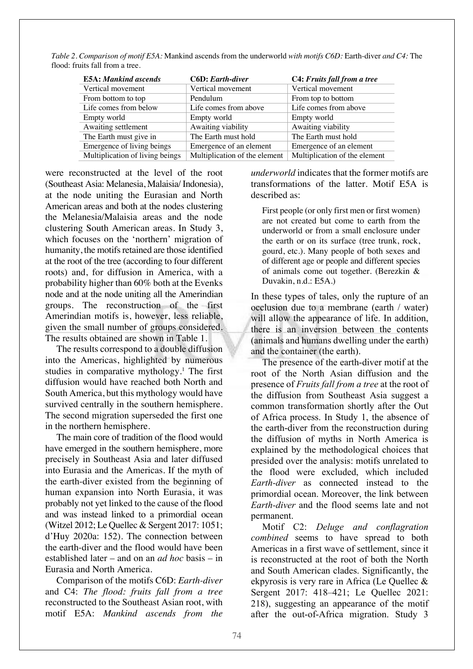*Table 2. Comparison of motif E5A:* Mankind ascends from the underworld *with motifs C6D:* Earth-diver *and C4:* The flood: fruits fall from a tree*.*

| <b>E5A: Mankind ascends</b>     | <b>C6D</b> : Earth-diver      | C4: Fruits fall from a tree   |  |
|---------------------------------|-------------------------------|-------------------------------|--|
| Vertical movement               | Vertical movement             | Vertical movement             |  |
| From bottom to top              | Pendulum                      | From top to bottom            |  |
| Life comes from below           | Life comes from above         | Life comes from above         |  |
| Empty world                     | Empty world                   | Empty world                   |  |
| Awaiting settlement             | Awaiting viability            | Awaiting viability            |  |
| The Earth must give in          | The Earth must hold           | The Earth must hold           |  |
| Emergence of living beings      | Emergence of an element       | Emergence of an element       |  |
| Multiplication of living beings | Multiplication of the element | Multiplication of the element |  |

were reconstructed at the level of the root (Southeast Asia: Melanesia, Malaisia/ Indonesia), at the node uniting the Eurasian and North American areas and both at the nodes clustering the Melanesia/Malaisia areas and the node clustering South American areas. In Study 3, which focuses on the 'northern' migration of humanity, the motifs retained are those identified at the root of the tree (according to four different roots) and, for diffusion in America, with a probability higher than 60% both at the Evenks node and at the node uniting all the Amerindian groups. The reconstruction of the first Amerindian motifs is, however, less reliable, given the small number of groups considered. The results obtained are shown in Table 1.

The results correspond to a double diffusion into the Americas, highlighted by numerous studies in comparative mythology.1 The first diffusion would have reached both North and South America, but this mythology would have survived centrally in the southern hemisphere. The second migration superseded the first one in the northern hemisphere.

The main core of tradition of the flood would have emerged in the southern hemisphere, more precisely in Southeast Asia and later diffused into Eurasia and the Americas. If the myth of the earth-diver existed from the beginning of human expansion into North Eurasia, it was probably not yet linked to the cause of the flood and was instead linked to a primordial ocean (Witzel 2012; Le Quellec & Sergent 2017: 1051; d'Huy 2020a: 152). The connection between the earth-diver and the flood would have been established later – and on an *ad hoc* basis – in Eurasia and North America.

Comparison of the motifs C6D: *Earth-diver* and C4: *The flood: fruits fall from a tree* reconstructed to the Southeast Asian root, with motif E5A: *Mankind ascends from the*  *underworld* indicates that the former motifs are transformations of the latter. Motif E5A is described as:

First people (or only first men or first women) are not created but come to earth from the underworld or from a small enclosure under the earth or on its surface (tree trunk, rock, gourd, etc.). Many people of both sexes and of different age or people and different species of animals come out together. (Berezkin & Duvakin, n.d.: E5A.)

In these types of tales, only the rupture of an occlusion due to a membrane (earth / water) will allow the appearance of life. In addition, there is an inversion between the contents (animals and humans dwelling under the earth) and the container (the earth).

The presence of the earth-diver motif at the root of the North Asian diffusion and the presence of *Fruits fall from a tree* at the root of the diffusion from Southeast Asia suggest a common transformation shortly after the Out of Africa process. In Study 1, the absence of the earth-diver from the reconstruction during the diffusion of myths in North America is explained by the methodological choices that presided over the analysis: motifs unrelated to the flood were excluded, which included *Earth-diver* as connected instead to the primordial ocean. Moreover, the link between *Earth-diver* and the flood seems late and not permanent.

Motif C2: *Deluge and conflagration combined* seems to have spread to both Americas in a first wave of settlement, since it is reconstructed at the root of both the North and South American clades. Significantly, the ekpyrosis is very rare in Africa (Le Quellec & Sergent 2017: 418–421; Le Quellec 2021: 218), suggesting an appearance of the motif after the out-of-Africa migration. Study 3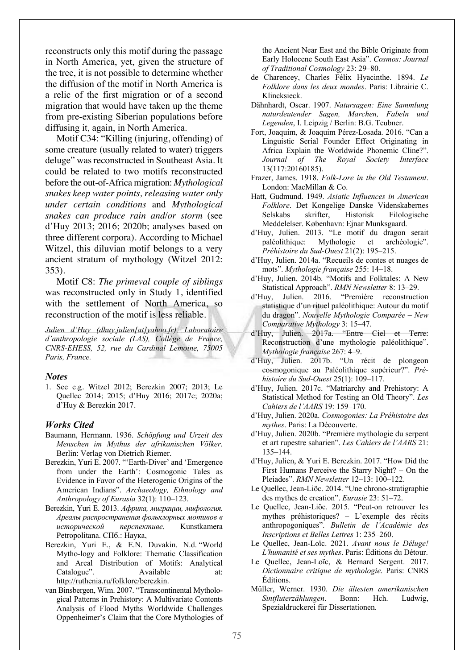reconstructs only this motif during the passage in North America, yet, given the structure of the tree, it is not possible to determine whether the diffusion of the motif in North America is a relic of the first migration or of a second migration that would have taken up the theme from pre-existing Siberian populations before diffusing it, again, in North America.

Motif C34: "Killing (injuring, offending) of some creature (usually related to water) triggers deluge" was reconstructed in Southeast Asia. It could be related to two motifs reconstructed before the out-of-Africa migration: *Mythological snakes keep water points, releasing water only under certain conditions* and *Mythological snakes can produce rain and/or storm* (see d'Huy 2013; 2016; 2020b; analyses based on three different corpora). According to Michael Witzel, this diluvian motif belongs to a very ancient stratum of mythology (Witzel 2012: 353).

Motif C8: *The primeval couple of siblings* was reconstructed only in Study 1, identified with the settlement of North America, so reconstruction of the motif is less reliable.

*Julien d'Huy (dhuy.julien[at]yahoo.fr), Laboratoire d'anthropologie sociale (LAS), Collège de France, CNRS-EHESS, 52, rue du Cardinal Lemoine, 75005 Paris, France.*

#### *Notes*

1. See e.g. Witzel 2012; Berezkin 2007; 2013; Le Quellec 2014; 2015; d'Huy 2016; 2017c; 2020a; d'Huy & Berezkin 2017.

#### *Works Cited*

- Baumann, Hermann. 1936. *Schöpfung und Urzeit des Menschen im Mythus der afrikanischen Völker.*  Berlin: Verlag von Dietrich Riemer.
- Berezkin, Yuri E. 2007. "'Earth-Diver' and 'Emergence from under the Earth': Cosmogonic Tales as Evidence in Favor of the Heterogenic Origins of the American Indians". *Archaeology, Ethnology and Anthropology of Eurasia* 32(1): 110–123.
- Berezkin, Yuri E. 2013. *Африка, миграции, мифология. Ареалы распространения фольклорных мотивов в исторической перспективе*. Kunstkamera Petropolitana. СПб.: Наука,
- Berezkin, Yuri E., & E.N. Duvakin. N.d. "World Mytho-logy and Folklore: Thematic Classification and Areal Distribution of Motifs: Analytical Catalogue". Available at: http://ruthenia.ru/folklore/berezkin.
- van Binsbergen, Wim. 2007. "Transcontinental Mythological Patterns in Prehistory: A Multivariate Contents Analysis of Flood Myths Worldwide Challenges Oppenheimer's Claim that the Core Mythologies of

the Ancient Near East and the Bible Originate from Early Holocene South East Asia". *Cosmos: Journal of Traditional Cosmology* 23: 29–80.

- de Charencey, Charles Félix Hyacinthe. 1894. *Le Folklore dans les deux mondes*. Paris: Librairie C. Klincksieck.
- Dähnhardt, Oscar. 1907. *Natursagen: Eine Sammlung naturdeutender Sagen, Marchen, Fabeln und Legenden*, I. Leipzig / Berlin: B.G. Teubner.
- Fort, Joaquim, & Joaquim Pérez-Losada. 2016. "Can a Linguistic Serial Founder Effect Originating in Africa Explain the Worldwide Phonemic Cline?". *Journal of The Royal Society Interface* 13(117:20160185).
- Frazer, James. 1918. *Folk-Lore in the Old Testament*. London: MacMillan & Co.
- Hatt, Gudmund. 1949. *Asiatic Influences in American Folklore*. Det Kongelige Danske Videnskabernes Selskabs skrifter, Historisk Filologische Meddelelser. København: Ejnar Munksgaard.
- d'Huy, Julien. 2013. "Le motif du dragon serait paléolithique: Mythologie et archéologie". *Préhistoire du Sud-Ouest* 21(2): 195–215.
- d'Huy, Julien. 2014a. "Recueils de contes et nuages de mots". *Mythologie française* 255: 14–18.
- d'Huy, Julien. 2014b. "Motifs and Folktales: A New Statistical Approach". *RMN Newsletter* 8: 13–29.
- d'Huy, Julien. 2016. "Première reconstruction statistique d'un rituel paléolithique: Autour du motif du dragon". *Nouvelle Mythologie Comparée – New Comparative Mythology* 3: 15–47.
- d'Huy, Julien. 2017a. "Entre Ciel et Terre: Reconstruction d'une mythologie paléolithique". *Mythologie française* 267: 4–9.
- d'Huy, Julien. 2017b. "Un récit de plongeon cosmogonique au Paléolithique supérieur?". *Préhistoire du Sud-Ouest* 25(1): 109–117.
- d'Huy, Julien. 2017c. "Matriarchy and Prehistory: A Statistical Method for Testing an Old Theory". *Les Cahiers de l'AARS* 19: 159–170.
- d'Huy, Julien. 2020a. *Cosmogonies: La Préhistoire des mythes*. Paris: La Découverte.
- d'Huy, Julien. 2020b. "Première mythologie du serpent et art rupestre saharien". *Les Cahiers de l'AARS* 21: 135–144.
- d'Huy, Julien, & Yuri E. Berezkin. 2017. "How Did the First Humans Perceive the Starry Night? – On the Pleiades". *RMN Newsletter* 12–13: 100–122.
- Le Quellec, Jean-Liöc. 2014. "Une chrono-stratigraphie des mythes de creation". *Eurasie* 23: 51–72.
- Le Quellec, Jean-Liöc. 2015. "Peut-on retrouver les mythes préhistoriques? – L'exemple des récits anthropogoniques". *Bulletin de l'Académie des Inscriptions et Belles Lettres* 1: 235–260.
- Le Quellec, Jean-Loïc. 2021. *Avant nous le Déluge! L'humanité et ses mythes*. Paris: Éditions du Détour.
- Le Quellec, Jean-Loïc, & Bernard Sergent. 2017. *Dictionnaire critique de mythologie*. Paris: CNRS Éditions.
- Müller, Werner. 1930. *Die ältesten amerikanischen Sintfluterzählungen*. Bonn: Hch. Ludwig, Spezialdruckerei für Dissertationen.